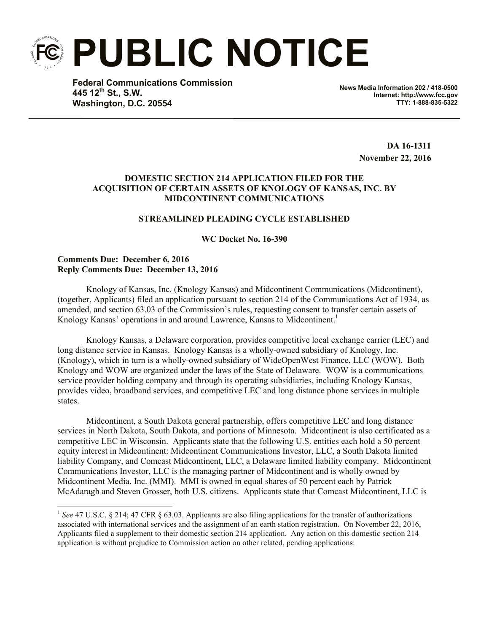**PUBLIC NOTICE**

**Federal Communications Commission 445 12th St., S.W. Washington, D.C. 20554**

**News Media Information 202 / 418-0500 Internet: http://www.fcc.gov TTY: 1-888-835-5322**

> **DA 16-1311 November 22, 2016**

# **DOMESTIC SECTION 214 APPLICATION FILED FOR THE ACQUISITION OF CERTAIN ASSETS OF KNOLOGY OF KANSAS, INC. BY MIDCONTINENT COMMUNICATIONS**

### **STREAMLINED PLEADING CYCLE ESTABLISHED**

**WC Docket No. 16-390**

## **Comments Due: December 6, 2016 Reply Comments Due: December 13, 2016**

l

Knology of Kansas, Inc. (Knology Kansas) and Midcontinent Communications (Midcontinent), (together, Applicants) filed an application pursuant to section 214 of the Communications Act of 1934, as amended, and section 63.03 of the Commission's rules, requesting consent to transfer certain assets of Knology Kansas' operations in and around Lawrence, Kansas to Midcontinent.<sup>1</sup>

Knology Kansas, a Delaware corporation, provides competitive local exchange carrier (LEC) and long distance service in Kansas. Knology Kansas is a wholly-owned subsidiary of Knology, Inc. (Knology), which in turn is a wholly-owned subsidiary of WideOpenWest Finance, LLC (WOW). Both Knology and WOW are organized under the laws of the State of Delaware. WOW is a communications service provider holding company and through its operating subsidiaries, including Knology Kansas, provides video, broadband services, and competitive LEC and long distance phone services in multiple states.

Midcontinent, a South Dakota general partnership, offers competitive LEC and long distance services in North Dakota, South Dakota, and portions of Minnesota. Midcontinent is also certificated as a competitive LEC in Wisconsin. Applicants state that the following U.S. entities each hold a 50 percent equity interest in Midcontinent: Midcontinent Communications Investor, LLC, a South Dakota limited liability Company, and Comcast Midcontinent, LLC, a Delaware limited liability company. Midcontinent Communications Investor, LLC is the managing partner of Midcontinent and is wholly owned by Midcontinent Media, Inc. (MMI). MMI is owned in equal shares of 50 percent each by Patrick McAdaragh and Steven Grosser, both U.S. citizens. Applicants state that Comcast Midcontinent, LLC is

<sup>&</sup>lt;sup>1</sup> See 47 U.S.C. § 214; 47 CFR § 63.03. Applicants are also filing applications for the transfer of authorizations associated with international services and the assignment of an earth station registration. On November 22, 2016, Applicants filed a supplement to their domestic section 214 application. Any action on this domestic section 214 application is without prejudice to Commission action on other related, pending applications.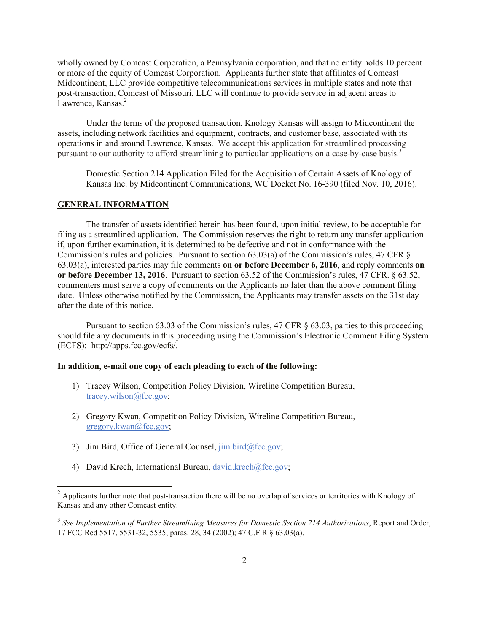wholly owned by Comcast Corporation, a Pennsylvania corporation, and that no entity holds 10 percent or more of the equity of Comcast Corporation. Applicants further state that affiliates of Comcast Midcontinent, LLC provide competitive telecommunications services in multiple states and note that post-transaction, Comcast of Missouri, LLC will continue to provide service in adjacent areas to Lawrence, Kansas.<sup>2</sup>

Under the terms of the proposed transaction, Knology Kansas will assign to Midcontinent the assets, including network facilities and equipment, contracts, and customer base, associated with its operations in and around Lawrence, Kansas. We accept this application for streamlined processing pursuant to our authority to afford streamlining to particular applications on a case-by-case basis.<sup>3</sup>

Domestic Section 214 Application Filed for the Acquisition of Certain Assets of Knology of Kansas Inc. by Midcontinent Communications, WC Docket No. 16-390 (filed Nov. 10, 2016).

### **GENERAL INFORMATION**

l

The transfer of assets identified herein has been found, upon initial review, to be acceptable for filing as a streamlined application. The Commission reserves the right to return any transfer application if, upon further examination, it is determined to be defective and not in conformance with the Commission's rules and policies. Pursuant to section 63.03(a) of the Commission's rules, 47 CFR § 63.03(a), interested parties may file comments **on or before December 6, 2016**, and reply comments **on or before December 13, 2016**. Pursuant to section 63.52 of the Commission's rules, 47 CFR. § 63.52, commenters must serve a copy of comments on the Applicants no later than the above comment filing date. Unless otherwise notified by the Commission, the Applicants may transfer assets on the 31st day after the date of this notice.

Pursuant to section 63.03 of the Commission's rules, 47 CFR § 63.03, parties to this proceeding should file any documents in this proceeding using the Commission's Electronic Comment Filing System (ECFS): http://apps.fcc.gov/ecfs/.

### **In addition, e-mail one copy of each pleading to each of the following:**

- 1) Tracey Wilson, Competition Policy Division, Wireline Competition Bureau, tracey.wilson@fcc.gov;
- 2) Gregory Kwan, Competition Policy Division, Wireline Competition Bureau, gregory.kwan@fcc.gov;
- 3) Jim Bird, Office of General Counsel,  $\lim_{\alpha \to 0}$  bird@fcc.gov;
- 4) David Krech, International Bureau, david.krech@fcc.gov;

 $2$  Applicants further note that post-transaction there will be no overlap of services or territories with Knology of Kansas and any other Comcast entity.

<sup>3</sup> *See Implementation of Further Streamlining Measures for Domestic Section 214 Authorizations*, Report and Order, 17 FCC Rcd 5517, 5531-32, 5535, paras. 28, 34 (2002); 47 C.F.R § 63.03(a).